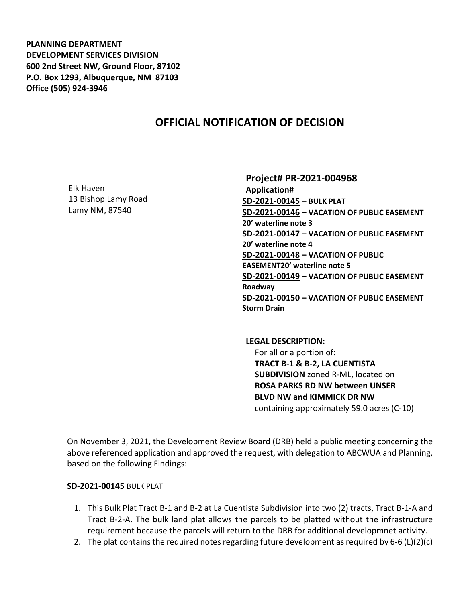**PLANNING DEPARTMENT DEVELOPMENT SERVICES DIVISION 600 2nd Street NW, Ground Floor, 87102 P.O. Box 1293, Albuquerque, NM 87103 Office (505) 924-3946** 

# **OFFICIAL NOTIFICATION OF DECISION**

Elk Haven 13 Bishop Lamy Road Lamy NM, 87540

**Project# PR-2021-004968 Application# SD-2021-00145 – BULK PLAT SD-2021-00146 – VACATION OF PUBLIC EASEMENT 20' waterline note 3 SD-2021-00147 – VACATION OF PUBLIC EASEMENT 20' waterline note 4 SD-2021-00148 – VACATION OF PUBLIC EASEMENT20' waterline note 5 SD-2021-00149 – VACATION OF PUBLIC EASEMENT Roadway SD-2021-00150 – VACATION OF PUBLIC EASEMENT Storm Drain**

**LEGAL DESCRIPTION:** For all or a portion of: **TRACT B-1 & B-2, LA CUENTISTA SUBDIVISION** zoned R-ML, located on **ROSA PARKS RD NW between UNSER BLVD NW and KIMMICK DR NW** containing approximately 59.0 acres (C-10)

On November 3, 2021, the Development Review Board (DRB) held a public meeting concerning the above referenced application and approved the request, with delegation to ABCWUA and Planning, based on the following Findings:

**SD-2021-00145** BULK PLAT

- 1. This Bulk Plat Tract B-1 and B-2 at La Cuentista Subdivision into two (2) tracts, Tract B-1-A and Tract B-2-A. The bulk land plat allows the parcels to be platted without the infrastructure requirement because the parcels will return to the DRB for additional developmnet activity.
- 2. The plat contains the required notes regarding future development as required by 6-6 (L)(2)(c)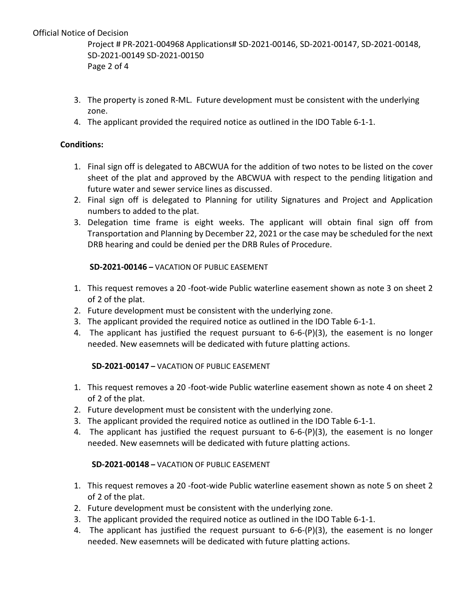## Official Notice of Decision

Project # PR-2021-004968 Applications# SD-2021-00146, SD-2021-00147, SD-2021-00148, SD-2021-00149 SD-2021-00150 Page 2 of 4

- 3. The property is zoned R-ML. Future development must be consistent with the underlying zone.
- 4. The applicant provided the required notice as outlined in the IDO Table 6-1-1.

### **Conditions:**

- 1. Final sign off is delegated to ABCWUA for the addition of two notes to be listed on the cover sheet of the plat and approved by the ABCWUA with respect to the pending litigation and future water and sewer service lines as discussed.
- 2. Final sign off is delegated to Planning for utility Signatures and Project and Application numbers to added to the plat.
- 3. Delegation time frame is eight weeks. The applicant will obtain final sign off from Transportation and Planning by December 22, 2021 or the case may be scheduled for the next DRB hearing and could be denied per the DRB Rules of Procedure.

#### **SD-2021-00146 –** VACATION OF PUBLIC EASEMENT

- 1. This request removes a 20 -foot-wide Public waterline easement shown as note 3 on sheet 2 of 2 of the plat.
- 2. Future development must be consistent with the underlying zone.
- 3. The applicant provided the required notice as outlined in the IDO Table 6-1-1.
- 4. The applicant has justified the request pursuant to  $6-6-(P)(3)$ , the easement is no longer needed. New easemnets will be dedicated with future platting actions.

#### **SD-2021-00147 –** VACATION OF PUBLIC EASEMENT

- 1. This request removes a 20 -foot-wide Public waterline easement shown as note 4 on sheet 2 of 2 of the plat.
- 2. Future development must be consistent with the underlying zone.
- 3. The applicant provided the required notice as outlined in the IDO Table 6-1-1.
- 4. The applicant has justified the request pursuant to 6-6-(P)(3), the easement is no longer needed. New easemnets will be dedicated with future platting actions.

## **SD-2021-00148 –** VACATION OF PUBLIC EASEMENT

- 1. This request removes a 20 -foot-wide Public waterline easement shown as note 5 on sheet 2 of 2 of the plat.
- 2. Future development must be consistent with the underlying zone.
- 3. The applicant provided the required notice as outlined in the IDO Table 6-1-1.
- 4. The applicant has justified the request pursuant to 6-6-(P)(3), the easement is no longer needed. New easemnets will be dedicated with future platting actions.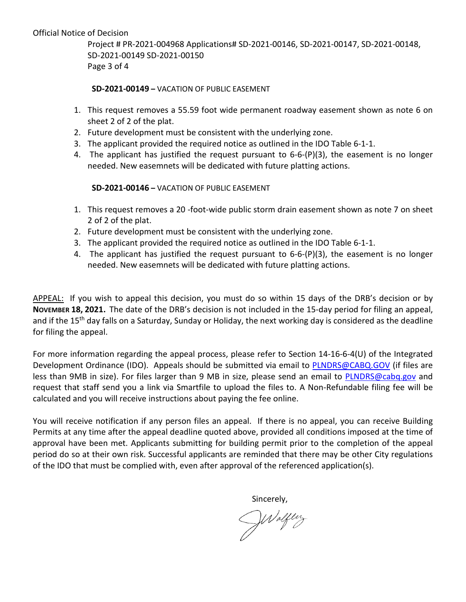Official Notice of Decision

Project # PR-2021-004968 Applications# SD-2021-00146, SD-2021-00147, SD-2021-00148, SD-2021-00149 SD-2021-00150 Page 3 of 4

**SD-2021-00149 –** VACATION OF PUBLIC EASEMENT

- 1. This request removes a 55.59 foot wide permanent roadway easement shown as note 6 on sheet 2 of 2 of the plat.
- 2. Future development must be consistent with the underlying zone.
- 3. The applicant provided the required notice as outlined in the IDO Table 6-1-1.
- 4. The applicant has justified the request pursuant to 6-6-(P)(3), the easement is no longer needed. New easemnets will be dedicated with future platting actions.

**SD-2021-00146 –** VACATION OF PUBLIC EASEMENT

- 1. This request removes a 20 -foot-wide public storm drain easement shown as note 7 on sheet 2 of 2 of the plat.
- 2. Future development must be consistent with the underlying zone.
- 3. The applicant provided the required notice as outlined in the IDO Table 6-1-1.
- 4. The applicant has justified the request pursuant to 6-6-(P)(3), the easement is no longer needed. New easemnets will be dedicated with future platting actions.

APPEAL: If you wish to appeal this decision, you must do so within 15 days of the DRB's decision or by **NOVEMBER 18, 2021.** The date of the DRB's decision is not included in the 15-day period for filing an appeal, and if the 15<sup>th</sup> day falls on a Saturday, Sunday or Holiday, the next working day is considered as the deadline for filing the appeal.

For more information regarding the appeal process, please refer to Section 14-16-6-4(U) of the Integrated Development Ordinance (IDO). Appeals should be submitted via email to [PLNDRS@CABQ.GOV](mailto:PLNDRS@CABQ.GOV) (if files are less than 9MB in size). For files larger than 9 MB in size, please send an email to [PLNDRS@cabq.gov](mailto:PLNDRS@cabq.gov) and request that staff send you a link via Smartfile to upload the files to. A Non-Refundable filing fee will be calculated and you will receive instructions about paying the fee online.

You will receive notification if any person files an appeal. If there is no appeal, you can receive Building Permits at any time after the appeal deadline quoted above, provided all conditions imposed at the time of approval have been met. Applicants submitting for building permit prior to the completion of the appeal period do so at their own risk. Successful applicants are reminded that there may be other City regulations of the IDO that must be complied with, even after approval of the referenced application(s).

Sincerely,<br> $\mathcal{N}$ alfluz